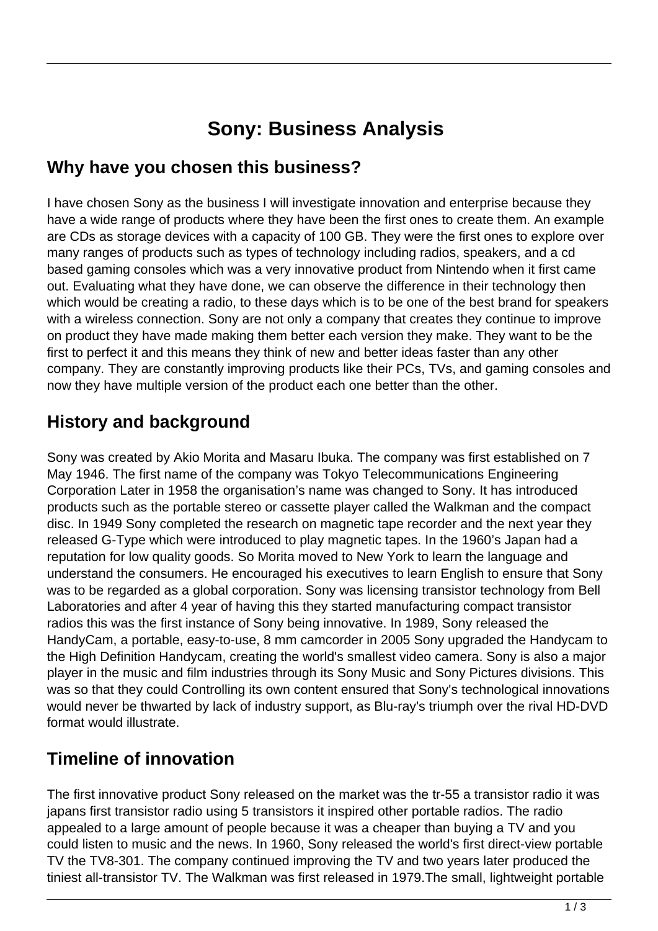# **Sony: Business Analysis**

#### **Why have you chosen this business?**

I have chosen Sony as the business I will investigate innovation and enterprise because they have a wide range of products where they have been the first ones to create them. An example are CDs as storage devices with a capacity of 100 GB. They were the first ones to explore over many ranges of products such as types of technology including radios, speakers, and a cd based gaming consoles which was a very innovative product from Nintendo when it first came out. Evaluating what they have done, we can observe the difference in their technology then which would be creating a radio, to these days which is to be one of the best brand for speakers with a wireless connection. Sony are not only a company that creates they continue to improve on product they have made making them better each version they make. They want to be the first to perfect it and this means they think of new and better ideas faster than any other company. They are constantly improving products like their PCs, TVs, and gaming consoles and now they have multiple version of the product each one better than the other.

### **History and background**

Sony was created by Akio Morita and Masaru Ibuka. The company was first established on 7 May 1946. The first name of the company was Tokyo Telecommunications Engineering Corporation Later in 1958 the organisation's name was changed to Sony. It has introduced products such as the portable stereo or cassette player called the Walkman and the compact disc. In 1949 Sony completed the research on magnetic tape recorder and the next year they released G-Type which were introduced to play magnetic tapes. In the 1960's Japan had a reputation for low quality goods. So Morita moved to New York to learn the language and understand the consumers. He encouraged his executives to learn English to ensure that Sony was to be regarded as a global corporation. Sony was licensing transistor technology from Bell Laboratories and after 4 year of having this they started manufacturing compact transistor radios this was the first instance of Sony being innovative. In 1989, Sony released the HandyCam, a portable, easy-to-use, 8 mm camcorder in 2005 Sony upgraded the Handycam to the High Definition Handycam, creating the world's smallest video camera. Sony is also a major player in the music and film industries through its Sony Music and Sony Pictures divisions. This was so that they could Controlling its own content ensured that Sony's technological innovations would never be thwarted by lack of industry support, as Blu-ray's triumph over the rival HD-DVD format would illustrate.

### **Timeline of innovation**

The first innovative product Sony released on the market was the tr-55 a transistor radio it was japans first transistor radio using 5 transistors it inspired other portable radios. The radio appealed to a large amount of people because it was a cheaper than buying a TV and you could listen to music and the news. In 1960, Sony released the world's first direct-view portable TV the TV8-301. The company continued improving the TV and two years later produced the tiniest all-transistor TV. The Walkman was first released in 1979.The small, lightweight portable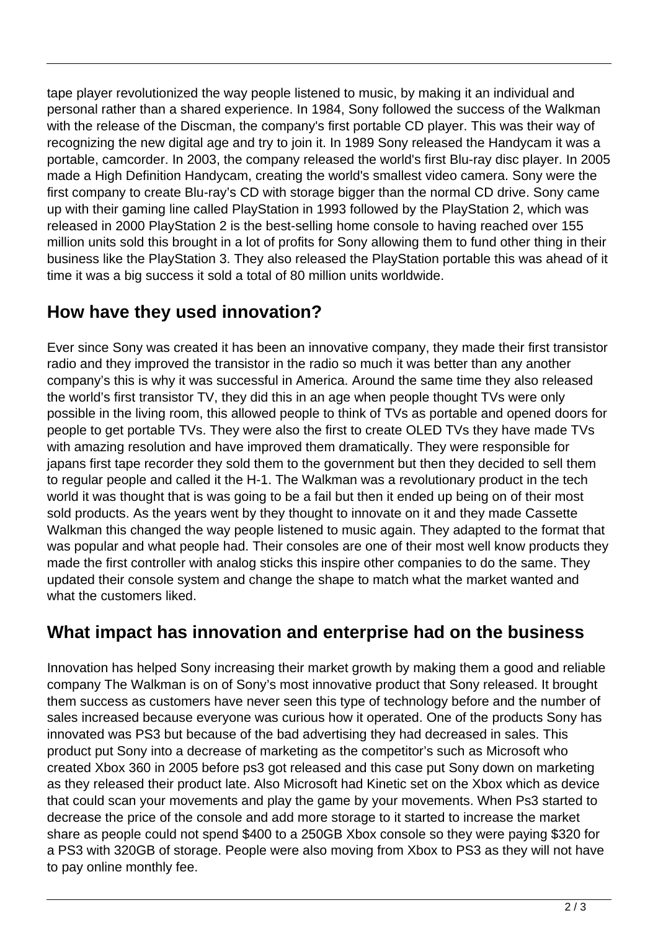tape player revolutionized the way people listened to music, by making it an individual and personal rather than a shared experience. In 1984, Sony followed the success of the Walkman with the release of the Discman, the company's first portable CD player. This was their way of recognizing the new digital age and try to join it. In 1989 Sony released the Handycam it was a portable, camcorder. In 2003, the company released the world's first Blu-ray disc player. In 2005 made a High Definition Handycam, creating the world's smallest video camera. Sony were the first company to create Blu-ray's CD with storage bigger than the normal CD drive. Sony came up with their gaming line called PlayStation in 1993 followed by the PlayStation 2, which was released in 2000 PlayStation 2 is the best-selling home console to having reached over 155 million units sold this brought in a lot of profits for Sony allowing them to fund other thing in their business like the PlayStation 3. They also released the PlayStation portable this was ahead of it time it was a big success it sold a total of 80 million units worldwide.

### **How have they used innovation?**

Ever since Sony was created it has been an innovative company, they made their first transistor radio and they improved the transistor in the radio so much it was better than any another company's this is why it was successful in America. Around the same time they also released the world's first transistor TV, they did this in an age when people thought TVs were only possible in the living room, this allowed people to think of TVs as portable and opened doors for people to get portable TVs. They were also the first to create OLED TVs they have made TVs with amazing resolution and have improved them dramatically. They were responsible for japans first tape recorder they sold them to the government but then they decided to sell them to regular people and called it the H-1. The Walkman was a revolutionary product in the tech world it was thought that is was going to be a fail but then it ended up being on of their most sold products. As the years went by they thought to innovate on it and they made Cassette Walkman this changed the way people listened to music again. They adapted to the format that was popular and what people had. Their consoles are one of their most well know products they made the first controller with analog sticks this inspire other companies to do the same. They updated their console system and change the shape to match what the market wanted and what the customers liked.

### **What impact has innovation and enterprise had on the business**

Innovation has helped Sony increasing their market growth by making them a good and reliable company The Walkman is on of Sony's most innovative product that Sony released. It brought them success as customers have never seen this type of technology before and the number of sales increased because everyone was curious how it operated. One of the products Sony has innovated was PS3 but because of the bad advertising they had decreased in sales. This product put Sony into a decrease of marketing as the competitor's such as Microsoft who created Xbox 360 in 2005 before ps3 got released and this case put Sony down on marketing as they released their product late. Also Microsoft had Kinetic set on the Xbox which as device that could scan your movements and play the game by your movements. When Ps3 started to decrease the price of the console and add more storage to it started to increase the market share as people could not spend \$400 to a 250GB Xbox console so they were paying \$320 for a PS3 with 320GB of storage. People were also moving from Xbox to PS3 as they will not have to pay online monthly fee.